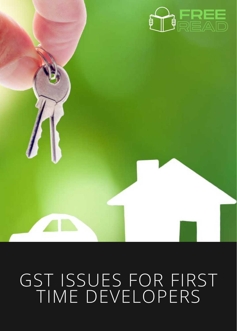

## GST ISSUES FOR FIRST TIME [DEVELOPERS](https://www.tved.net.au/index.cfm?area=SELECTSERVICE&sub_code=M571&show=LIBRARY&RecentPapersArea=LEC#MyPDFsWBSSEP20)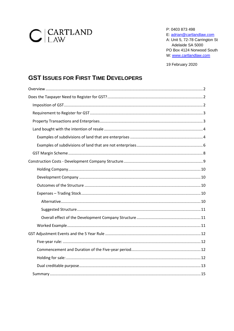# $C$  CARTLAND

P: 0403 873 498 E: adrian@cartlandlaw.com A: Unit 5, 72-78 Carrington St Adelaide SA 5000 PO Box 4124 Norwood South W: www.cartlandlaw.com

19 February 2020

### **GST ISSUES FOR FIRST TIME DEVELOPERS**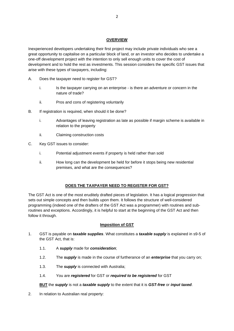#### **OVERVIEW**

<span id="page-2-0"></span>Inexperienced developers undertaking their first project may include private individuals who see a great opportunity to capitalise on a particular block of land, or an investor who decides to undertake a one-off development project with the intention to only sell enough units to cover the cost of development and to hold the rest as investments. This session considers the specific GST issues that arise with these types of taxpayers, including:

- A. Does the taxpayer need to register for GST?
	- i. Is the taxpayer carrying on an enterprise is there an adventure or concern in the nature of trade?
	- ii. Pros and cons of registering voluntarily
- B. If registration is required, when should it be done?
	- i. Advantages of leaving registration as late as possible if margin scheme is available in relation to the property
	- ii. Claiming construction costs
- C. Key GST issues to consider:
	- i. Potential adjustment events if property is held rather than sold
	- ii. How long can the development be held for before it stops being new residential premises, and what are the consequences?

#### **DOES THE TAXPAYER NEED TO REGISTER FOR GST?**

<span id="page-2-1"></span>The GST Act is one of the most eruditely drafted pieces of legislation. It has a logical progression that sets out simple concepts and then builds upon them. It follows the structure of well-considered programming (indeed one of the drafters of the GST Act was a programmer) with routines and subroutines and exceptions. Accordingly, it is helpful to start at the beginning of the GST Act and then follow it through.

#### **Imposition of GST**

- <span id="page-2-2"></span>1. GST is payable on *taxable supplies*. What constitutes a *taxable supply* is explained in s9-5 of the GST Act, that is:
	- 1.1. A *supply* made for *consideration*;
	- 1.2. The *supply* is made in the course of furtherance of an *enterprise* that you carry on;
	- 1.3. The *supply* is connected with Australia;
	- 1.4. You are *registered* for GST or *required to be registered* for GST

#### **BUT** the *supply* is not a *taxable supply* to the extent that it is *GST-free* or *input taxed*.

2. In relation to Australian real property: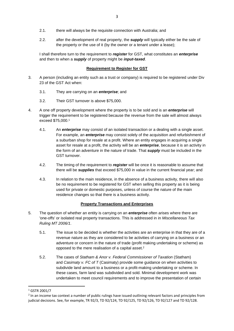- 2.1. there will always be the requisite connection with Australia; and
- 2.2. after the development of real property, the *supply* will typically either be the sale of the property or the use of it (by the owner or a tenant under a lease);

I shall therefore turn to the requirement to *register* for GST, what constitutes an *enterprise* and then to when a *supply* of property might be *input-taxed*.

#### **Requirement to Register for GST**

- <span id="page-3-0"></span>3. A person (including an entity such as a trust or company) is required to be registered under Div 23 of the GST Act when:
	- 3.1. They are carrying on an *enterprise*; and
	- 3.2. Their GST turnover is above \$75,000.
- 4. A one off property development where the property is to be sold and is an *enterprise* will trigger the requirement to be registered because the revenue from the sale will almost always exceed \$75,000. 1
	- 4.1. An *enterprise* may consist of an isolated transaction or a dealing with a single asset. For example, an *enterprise* may consist solely of the acquisition and refurbishment of a suburban shop for resale at a profit. Where an entity engages in acquiring a single asset for resale at a profit, the activity will be an *enterprise*, because it is an activity in the form of an adventure in the nature of trade. That *supply* must be included in the GST turnover.
	- 4.2. The timing of the requirement to *register* will be once it is reasonable to assume that there will be *supplies* that exceed \$75,000 in value in the current financial year; and
	- 4.3. In relation to the main residence, in the absence of a business activity, there will also be no requirement to be registered for GST when selling this property as it is being used for private or domestic purposes, unless of course the nature of the main residence changes so that there is a business activity.

#### **Property Transactions and Enterprises**

- <span id="page-3-1"></span>5. The question of whether an entity is carrying on an *enterprise* often arises where there are 'one-offs' or isolated real property transactions. This is addressed in in *Miscellaneous Tax Ruling MT 2006/1*.
	- 5.1. The issue to be decided is whether the activities are an enterprise in that they are of a revenue nature as they are considered to be activities of carrying on a business or an adventure or concern in the nature of trade (profit making undertaking or scheme) as opposed to the mere realisation of a capital asset. 2
	- 5.2. The cases of *Statham & Anor v. Federal Commissioner of Taxation* (Statham) and *Casimaty v. FC of T* (Casimaty) provide some guidance on when activities to subdivide land amount to a business or a profit-making undertaking or scheme. In these cases, farm land was subdivided and sold. Minimal development work was undertaken to meet council requirements and to improve the presentation of certain

<sup>1</sup> GSTR 2001/7

<sup>&</sup>lt;sup>2</sup> In an income tax context a number of public rulings have issued outlining relevant factors and principles from judicial decisions. See, for example, TR 92/3, TD 92/124, TD 92/125, TD 92/126, TD 92/127 and TD 92/128.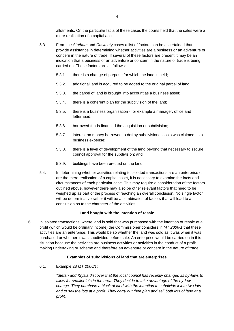allotments. On the particular facts of these cases the courts held that the sales were a mere realisation of a capital asset.

- 5.3. From the *Statham* and *Casimaty* cases a list of factors can be ascertained that provide assistance in determining whether activities are a business or an adventure or concern in the nature of trade. If several of these factors are present it may be an indication that a business or an adventure or concern in the nature of trade is being carried on. These factors are as follows:
	- 5.3.1. there is a change of purpose for which the land is held;
	- 5.3.2. additional land is acquired to be added to the original parcel of land;
	- 5.3.3. the parcel of land is brought into account as a business asset;
	- 5.3.4. there is a coherent plan for the subdivision of the land;
	- 5.3.5. there is a business organisation for example a manager, office and letterhead;
	- 5.3.6. borrowed funds financed the acquisition or subdivision;
	- 5.3.7. interest on money borrowed to defray subdivisional costs was claimed as a business expense;
	- 5.3.8. there is a level of development of the land beyond that necessary to secure council approval for the subdivision; and
	- 5.3.9. buildings have been erected on the land.
- 5.4. In determining whether activities relating to isolated transactions are an enterprise or are the mere realisation of a capital asset, it is necessary to examine the facts and circumstances of each particular case. This may require a consideration of the factors outlined above, however there may also be other relevant factors that need to be weighed up as part of the process of reaching an overall conclusion. No single factor will be determinative rather it will be a combination of factors that will lead to a conclusion as to the character of the activities.

#### **Land bought with the intention of resale**

<span id="page-4-0"></span>6. In isolated transactions, where land is sold that was purchased with the intention of resale at a profit (which would be ordinary income) the Commissioner considers in *MT 2006/1* that these activities are an enterprise. This would be so whether the land was sold as it was when it was purchased or whether it was subdivided before sale. An enterprise would be carried on in this situation because the activities are business activities or activities in the conduct of a profit making undertaking or scheme and therefore an adventure or concern in the nature of trade.

#### **Examples of subdivisions of land that are enterprises**

<span id="page-4-1"></span>6.1. Example 28 *MT 2006/1*:

*"Stefan and Krysia discover that the local council has recently changed its by-laws to allow for smaller lots in the area. They decide to take advantage of the by-law change. They purchase a block of land with the intention to subdivide it into two lots and to sell the lots at a profit. They carry out their plan and sell both lots of land at a profit.*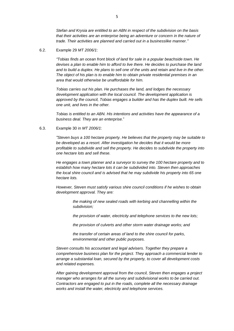*Stefan and Krysia are entitled to an ABN in respect of the subdivision on the basis that their activities are an enterprise being an adventure or concern in the nature of trade. Their activities are planned and carried out in a businesslike manner."*

6.2. Example 29 *MT 2006/1*:

*"Tobias finds an ocean front block of land for sale in a popular beachside town. He devises a plan to enable him to afford to live there. He decides to purchase the land and to build a duplex. He plans to sell one of the units and retain and live in the other. The object of his plan is to enable him to obtain private residential premises in an area that would otherwise be unaffordable for him.*

*Tobias carries out his plan. He purchases the land, and lodges the necessary development application with the local council. The development application is approved by the council, Tobias engages a builder and has the duplex built. He sells one unit, and lives in the other.*

*Tobias is entitled to an ABN. His intentions and activities have the appearance of a business deal. They are an enterprise.*"

#### 6.3. Example 30 in *MT 2006/1*:

*"Steven buys a 100 hectare property. He believes that the property may be suitable to be developed as a resort. After investigation he decides that it would be more profitable to subdivide and sell the property. He decides to subdivide the property into one hectare lots and sell these.*

*He engages a town planner and a surveyor to survey the 100 hectare property and to establish how many hectare lots it can be subdivided into. Steven then approaches the local shire council and is advised that he may subdivide his property into 65 one hectare lots.*

*However, Steven must satisfy various shire council conditions if he wishes to obtain development approval. They are:*

> *the making of new sealed roads with kerbing and channelling within the subdivision;*

> *the provision of water, electricity and telephone services to the new lots;*

*the provision of culverts and other storm water drainage works; and*

*the transfer of certain areas of land to the shire council for parks, environmental and other public purposes.*

*Steven consults his accountant and legal advisers. Together they prepare a comprehensive business plan for the project. They approach a commercial lender to arrange a substantial loan, secured by the property, to cover all development costs and related expenses.*

*After gaining development approval from the council, Steven then engages a project manager who arranges for all the survey and subdivisional works to be carried out. Contractors are engaged to put in the roads, complete all the necessary drainage works and install the water, electricity and telephone services.*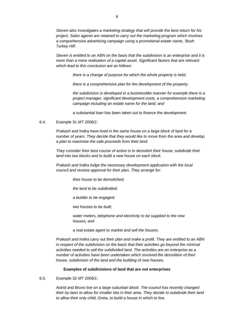*Steven also investigates a marketing strategy that will provide the best return for his project. Sales agents are retained to carry out the marketing program which involves a comprehensive advertising campaign using a promotional estate name, 'Bush Turkey Hill'.*

*Steven is entitled to an ABN on the basis that the subdivision is an enterprise and it is more than a mere realisation of a capital asset. Significant factors that are relevant which lead to this conclusion are as follows:*

*there is a change of purpose for which the whole property is held;*

*there is a comprehensive plan for the development of the property;*

*the subdivision is developed in a businesslike manner for example there is a project manager, significant development costs, a comprehensive marketing campaign including an estate name for the land; and*

*a substantial loan has been taken out to finance the development*.

#### 6.4. Example 31 *MT 2006/1*:

*Prakash and Indira have lived in the same house on a large block of land for a number of years. They decide that they would like to move from the area and develop a plan to maximise the sale proceeds from their land.*

*They consider their best course of action is to demolish their house, subdivide their land into two blocks and to build a new house on each block.*

*Prakash and Indira lodge the necessary development application with the local council and receive approval for their plan. They arrange for:*

*their house to be demolished;*

*the land to be subdivided;*

*a builder to be engaged;*

*two houses to be built;*

*water meters, telephone and electricity to be supplied to the new houses; and*

*a real estate agent to market and sell the houses.*

*Prakash and Indira carry out their plan and make a profit. They are entitled to an ABN in respect of the subdivision on the basis that their activities go beyond the minimal activities needed to sell the subdivided land. The activities are an enterprise as a number of activities have been undertaken which involved the demolition of their house, subdivision of the land and the building of new houses.*

#### **Examples of subdivisions of land that are not enterprises**

#### <span id="page-6-0"></span>6.5. Example 32 *MT 2006/1*:

*Astrid and Bruno live on a large suburban block. The council has recently changed their by-laws to allow for smaller lots in their area. They decide to subdivide their land to allow their only child, Greta, to build a house in which to live.*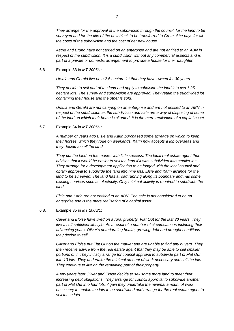*Astrid and Bruno have not carried on an enterprise and are not entitled to an ABN in respect of the subdivision. It is a subdivision without any commercial aspects and is part of a private or domestic arrangement to provide a house for their daughter.*

6.6. Example 33 in *MT 2006/1*:

*Ursula and Gerald live on a 2.5 hectare lot that they have owned for 30 years.*

*They decide to sell part of the land and apply to subdivide the land into two 1.25 hectare lots. The survey and subdivision are approved. They retain the subdivided lot containing their house and the other is sold.*

*Ursula and Gerald are not carrying on an enterprise and are not entitled to an ABN in respect of the subdivision as the subdivision and sale are a way of disposing of some of the land on which their home is situated. It is the mere realisation of a capital asset.*

6.7. Example 34 in *MT 2006/1*:

*A number of years ago Elsie and Karin purchased some acreage on which to keep their horses, which they rode on weekends. Karin now accepts a job overseas and they decide to sell the land.*

*They put the land on the market with little success. The local real estate agent then advises that it would be easier to sell the land if it was subdivided into smaller lots. They arrange for a development application to be lodged with the local council and obtain approval to subdivide the land into nine lots. Elsie and Karin arrange for the*  land to be surveyed. The land has a road running along its boundary and has some *existing services such as electricity. Only minimal activity is required to subdivide the land.*

*Elsie and Karin are not entitled to an ABN. The sale is not considered to be an enterprise and is the mere realisation of a capital asset.*

6.8. Example 35 in *MT 2006/1*:

*Oliver and Eloise have lived on a rural property, Flat Out for the last 30 years. They live a self-sufficient lifestyle. As a result of a number of circumstances including their advancing years, Oliver's deteriorating health, growing debt and drought conditions they decide to sell.*

*Oliver and Eloise put Flat Out on the market and are unable to find any buyers. They then receive advice from the real estate agent that they may be able to sell smaller portions of it. They initially arrange for council approval to subdivide part of Flat Out into 13 lots. They undertake the minimal amount of work necessary and sell the lots. They continue to live on the remaining part of their property.*

*A few years later Oliver and Eloise decide to sell some more land to meet their increasing debt obligations. They arrange for council approval to subdivide another part of Flat Out into four lots. Again they undertake the minimal amount of work necessary to enable the lots to be subdivided and arrange for the real estate agent to sell these lots.*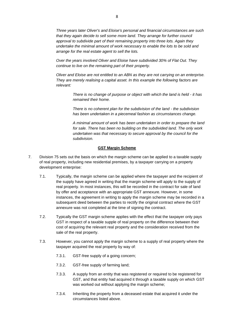*Three years later Oliver's and Eloise's personal and financial circumstances are such that they again decide to sell some more land. They arrange for further council approval to subdivide part of their remaining property into three lots. Again they undertake the minimal amount of work necessary to enable the lots to be sold and arrange for the real estate agent to sell the lots.*

*Over the years involved Oliver and Eloise have subdivided 30% of Flat Out. They continue to live on the remaining part of their property.*

*Oliver and Eloise are not entitled to an ABN as they are not carrying on an enterprise. They are merely realising a capital asset. In this example the following factors are relevant:*

> *There is no change of purpose or object with which the land is held - it has remained their home.*

*There is no coherent plan for the subdivision of the land - the subdivision has been undertaken in a piecemeal fashion as circumstances change.*

*A minimal amount of work has been undertaken in order to prepare the land for sale. There has been no building on the subdivided land. The only work undertaken was that necessary to secure approval by the council for the subdivision.*

#### **GST Margin Scheme**

- <span id="page-8-0"></span>7. Division 75 sets out the basis on which the margin scheme can be applied to a taxable supply of real property, including new residential premises, by a taxpayer carrying on a property development enterprise:
	- 7.1. Typically, the margin scheme can be applied where the taxpayer and the recipient of the supply have agreed in writing that the margin scheme will apply to the supply of real property. In most instances, this will be recorded in the contract for sale of land by offer and acceptance with an appropriate GST annexure. However, in some instances, the agreement in writing to apply the margin scheme may be recorded in a subsequent deed between the parties to rectify the original contract where the GST annexure was not completed at the time of signing the contract.
	- 7.2. Typically the GST margin scheme applies with the effect that the taxpayer only pays GST in respect of a taxable supple of real property on the difference between their cost of acquiring the relevant real property and the consideration received from the sale of the real property.
	- 7.3. However, you cannot apply the margin scheme to a supply of real property where the taxpayer acquired the real property by way of:
		- 7.3.1. GST-free supply of a going concern;
		- 7.3.2. GST-free supply of farming land;
		- 7.3.3. A supply from an entity that was registered or required to be registered for GST, and that entity had acquired it through a taxable supply on which GST was worked out without applying the margin scheme;
		- 7.3.4. Inheriting the property from a deceased estate that acquired it under the circumstances listed above.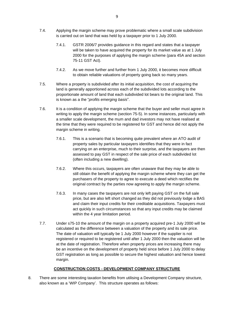- 7.4. Applying the margin scheme may prove problematic where a small scale subdivision is carried out on land that was held by a taxpayer prior to 1 July 2000.
	- 7.4.1. GSTR 2006/7 provides guidance in this regard and states that a taxpayer will be taken to have acquired the property for its market value as at 1 July 2000 for the purposes of applying the margin scheme (para 45A and section 75-11 GST Act).
	- 7.4.2. As we move further and further from 1 July 2000, it becomes more difficult to obtain reliable valuations of property going back so many years.
- 7.5. Where a property is subdivided after its initial acquisition, the cost of acquiring the land is generally apportioned across each of the subdivided lots according to the proportionate amount of land that each subdivided lot bears to the original land. This is known as a the "*profits emerging basis*".
- 7.6. It is a condition of applying the margin scheme that the buyer and seller must agree in writing to apply the margin scheme (section 75-5). In some instances, particularly with a smaller scale development, the mum and dad investors may not have realised at the time that they were required to be registered for GST and hence did not apply the margin scheme in writing.
	- 7.6.1. This is a scenario that is becoming quite prevalent where an ATO audit of property sales by particular taxpayers identifies that they were in fact carrying on an enterprise, much to their surprise, and the taxpayers are then assessed to pay GST in respect of the sale price of each subdivided lot (often including a new dwelling).
	- 7.6.2. Where this occurs, taxpayers are often unaware that they may be able to still obtain the benefit of applying the margin scheme where they can get the purchasers of the property to agree to execute a deed which rectifies the original contract by the parties now agreeing to apply the margin scheme.
	- 7.6.3. In many cases the taxpayers are not only left paying GST on the full sale price, but are also left short changed as they did not previously lodge a BAS and claim their input credits for their creditable acquisitions. Taxpayers must act quickly in such circumstances so that any input credits may be claimed within the 4 year limitation period.
- 7.7. Under s75-10 the amount of the margin on a property acquired pre-1 July 2000 will be calculated as the difference between a valuation of the property and its sale price. The date of valuation will typically be 1 July 2000 however if the supplier is not registered or required to be registered until after 1 July 2000 then the valuation will be at the date of registration. Therefore when property prices are increasing there may be an incentive on the development of property held since before 1 July 2000 to delay GST registration as long as possible to secure the highest valuation and hence lowest margin.

#### **CONSTRUCTION COSTS - DEVELOPMENT COMPANY STRUCTURE**

<span id="page-9-0"></span>8. There are some interesting taxation benefits from utilising a Development Company structure, also known as a 'WIP Company'. This structure operates as follows: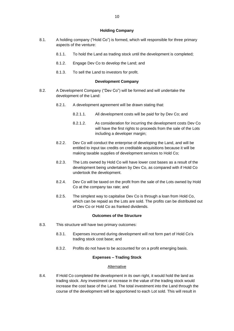#### **Holding Company**

- <span id="page-10-0"></span>8.1. A holding company ("Hold Co") is formed, which will responsible for three primary aspects of the venture:
	- 8.1.1. To hold the Land as trading stock until the development is completed;
	- 8.1.2. Engage Dev Co to develop the Land; and
	- 8.1.3. To sell the Land to investors for profit.

#### **Development Company**

- <span id="page-10-1"></span>8.2. A Development Company ("Dev Co") will be formed and will undertake the development of the Land:
	- 8.2.1. A development agreement will be drawn stating that:
		- 8.2.1.1. All development costs will be paid for by Dev Co; and
		- 8.2.1.2. As consideration for incurring the development costs Dev Co will have the first rights to proceeds from the sale of the Lots including a developer margin;
	- 8.2.2. Dev Co will conduct the enterprise of developing the Land, and will be entitled to input tax credits on creditable acquisitions because it will be making taxable supplies of development services to Hold Co;
	- 8.2.3. The Lots owned by Hold Co will have lower cost bases as a result of the development being undertaken by Dev Co, as compared with if Hold Co undertook the development.
	- 8.2.4. Dev Co will be taxed on the profit from the sale of the Lots owned by Hold Co at the company tax rate; and
	- 8.2.5. The simplest way to capitalise Dev Co is through a loan from Hold Co, which can be repaid as the Lots are sold. The profits can be distributed out of Dev Co or Hold Co as franked dividends.

#### **Outcomes of the Structure**

- <span id="page-10-2"></span>8.3. This structure will have two primary outcomes:
	- 8.3.1. Expenses incurred during development will not form part of Hold Co's trading stock cost base; and
	- 8.3.2. Profits do not have to be accounted for on a profit emerging basis.

#### **Expenses – Trading Stock**

#### Alternative

<span id="page-10-4"></span><span id="page-10-3"></span>8.4. If Hold Co completed the development in its own right, it would hold the land as trading stock. Any investment or increase in the value of the trading stock would increase the cost base of the Land. The total investment into the Land through the course of the development will be apportioned to each Lot sold. This will result in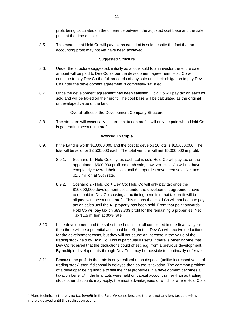profit being calculated on the difference between the adjusted cost base and the sale price at the time of sale.

8.5. This means that Hold Co will pay tax as each Lot is sold despite the fact that an accounting profit may not yet have been achieved.

#### Suggested Structure

- <span id="page-11-0"></span>8.6. Under the structure suggested; initially as a lot is sold to an investor the entire sale amount will be paid to Dev Co as per the development agreement. Hold Co will continue to pay Dev Co the full proceeds of any sale until their obligation to pay Dev Co under the development agreement is completely satisfied.
- 8.7. Once the development agreement has been satisfied, Hold Co will pay tax on each lot sold and will be taxed on their profit. The cost base will be calculated as the original undeveloped value of the land.

#### Overall effect of the Development Company Structure

<span id="page-11-1"></span>8.8. The structure will essentially ensure that tax on profits will only be paid when Hold Co is generating accounting profits.

#### **Worked Example**

- <span id="page-11-2"></span>8.9. If the Land is worth \$10,000,000 and the cost to develop 10 lots is \$10,000,000. The lots will be sold for \$2,500,000 each. The total venture will net \$5,000,000 in profit.
	- 8.9.1. Scenario 1 Hold Co only: as each Lot is sold Hold Co will pay tax on the apportioned \$500,000 profit on each sale, however Hold Co will not have completely covered their costs until 8 properties have been sold. Net tax: \$1.5 million at 30% rate.
	- 8.9.2. Scenario 2 Hold Co + Dev Co: Hold Co will only pay tax once the \$10,000,000 development costs under the development agreement have been paid to Dev Co causing a tax timing benefit in that tax profit will be aligned with accounting profit. This means that Hold Co will not begin to pay tax on sales until the  $4<sup>th</sup>$  property has been sold. From that point onwards Hold Co will pay tax on \$833,333 profit for the remaining 6 properties. Net Tax \$1.5 million at 30% rate.
- 8.10. If the development and the sale of the Lots is not all completed in one financial year then there will be a potential additional benefit, in that Dev Co will receive deductions for the development costs, but they will not cause an increase in the value of the trading stock held by Hold Co. This is particularly useful if there is other income that Dev Co received that the deductions could offset, e.g. from a previous development. By multiple developments through Dev Co it may be possible to continually defer tax.
- 8.11. Because the profit in the Lots is only realised upon disposal (unlike increased value of trading stock) then if disposal is delayed then so too is taxation. The common problem of a developer being unable to sell the final properties in a development becomes a taxation benefit.<sup>3</sup> If the final Lots were held on capital account rather than as trading stock other discounts may apply, the most advantageous of which is where Hold Co is

<sup>3</sup> More technically there is no tax *benefit* in the Part IVA sense because there is not any less tax paid – it is merely delayed until the realisation event.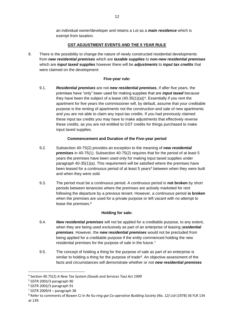an individual owner/developer and retains a Lot as a *main residence* which is exempt from taxation.

#### **GST ADJUSTMENT EVENTS AND THE 5 YEAR RULE**

<span id="page-12-0"></span>9. There is the possibility to change the nature of newly constructed residential developments from *new residential premises* which are *taxable supplies* to *non-new residential premises* which are *input taxed supplies* however there will be *adjustments* to *input tax credits* that were claimed on the development:

#### **Five-year rule:**

<span id="page-12-1"></span>9.1. *Residential premises* are not *new residential premises*, if after five years, the premises have "only" been used for making supplies that are *input taxed* because they have been the subject of a lease  $(40.35(1)(a))^4$ . Essentially if you rent the apartment for five years the commissioner will, by default, assume that your creditable purpose is the renting of apartments not the construction and sale of new apartments and you are not able to claim any input tax credits. If you had previously claimed these input tax credits you may have to make adjustments that effectively reverse these credits, as you are not entitled to GST credits for things purchased to make input taxed supplies.

#### **Commencement and Duration of the Five-year period**

- <span id="page-12-2"></span>9.2. Subsection 40-75(2) provides an exception to the meaning of *new residential premises* in 40-75(1). Subsection 40-75(2) requires that for the period of at least 5 years the premises have been used only for making input taxed supplies under paragraph 40-35(1)(a). This requirement will be satisfied where the premises have been leased for a continuous period of at least 5 years<sup>5</sup> between when they were built and when they were sold.
- 9.3. The period must be a continuous period. A continuous period is **not broken** by short periods between tenancies where the premises are actively marketed for rent following the departure by a previous tenant. However, a continuous period **is broken** when the premises are used for a private purpose or left vacant with no attempt to lease the premises.<sup>6</sup>

#### **Holding for sale:**

- <span id="page-12-3"></span>9.4. *New residential premises* will not be applied for a creditable purpose, to any extent, when they are being used exclusively as part of an enterprise of leasing r*esidential premises*. However, the *new residential premises* would not be precluded from being applied for a creditable purpose if the entity commenced holding the new residential premises for the purpose of sale in the future.<sup>7</sup>
- 9.5. The concept of holding a thing for the purpose of sale as part of an enterprise is similar to holding a thing for the purpose of trade<sup>8</sup>. An objective assessment of the facts and circumstances will demonstrate whether or not *new residential premises*

<sup>4</sup> Section 40.75(2) *A New Tax System (Goods and Services Tax) Act 1999*

<sup>5</sup> GSTR 2003/3 paragraph 90

 $6$  GSTR 2003/3 paragraph 91

<sup>7</sup> GSTR 2009/4 – paragraph 38

<sup>8</sup> Refer to comments of Bowen CJ in *Re Ku-ring-gai Co-operative Building Society (No. 12) Ltd* (1978) 36 FLR 134 at 139.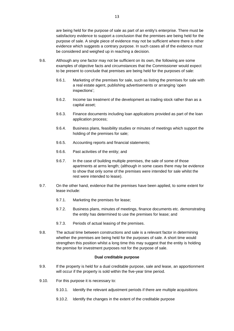are being held for the purpose of sale as part of an entity's enterprise. There must be satisfactory evidence to support a conclusion that the premises are being held for the purpose of sale. A single piece of evidence may not be sufficient where there is other evidence which suggests a contrary purpose. In such cases all of the evidence must be considered and weighed up in reaching a decision.

- 9.6. Although any one factor may not be sufficient on its own, the following are some examples of objective facts and circumstances that the Commissioner would expect to be present to conclude that premises are being held for the purposes of sale:
	- 9.6.1. Marketing of the premises for sale, such as listing the premises for sale with a real estate agent, publishing advertisements or arranging 'open inspections';
	- 9.6.2. Income tax treatment of the development as trading stock rather than as a capital asset;
	- 9.6.3. Finance documents including loan applications provided as part of the loan application process;
	- 9.6.4. Business plans, feasibility studies or minutes of meetings which support the holding of the premises for sale;
	- 9.6.5. Accounting reports and financial statements;
	- 9.6.6. Past activities of the entity; and
	- 9.6.7. In the case of building multiple premises, the sale of some of those apartments at arms length; (although in some cases there may be evidence to show that only some of the premises were intended for sale whilst the rest were intended to lease).
- 9.7. On the other hand, evidence that the premises have been applied, to some extent for lease include:
	- 9.7.1. Marketing the premises for lease;
	- 9.7.2. Business plans, minutes of meetings, finance documents etc. demonstrating the entity has determined to use the premises for lease; and
	- 9.7.3. Periods of actual leasing of the premises.
- 9.8. The actual time between constructions and sale is a relevant factor in determining whether the premises are being held for the purposes of sale. A short time would strengthen this position whilst a long time this may suggest that the entity is holding the premise for investment purposes not for the purpose of sale.

#### **Dual creditable purpose**

- <span id="page-13-0"></span>9.9. If the property is held for a dual creditable purpose, sale and lease, an apportionment will occur if the property is sold within the five-year time period.
- 9.10. For this purpose it is necessary to:
	- 9.10.1. Identify the relevant adjustment periods if there are multiple acquisitions
	- 9.10.2. Identify the changes in the extent of the creditable purpose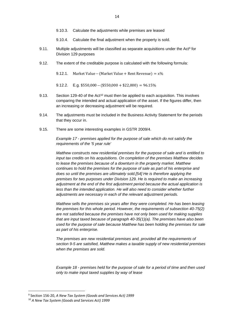- 9.10.3. Calculate the adjustments while premises are leased
- 9.10.4. Calculate the final adjustment when the property is sold.
- 9.11. Multiple adjustments will be classified as separate acquisitions under the Act<sup>9</sup> for Division 129 purposes
- 9.12. The extent of the creditable purpose is calculated with the following formula:

9.12.1. Market Value – (Market Value + Rent Revenue) =  $x\%$ 

9.12.2. E.g.  $$550,000 - ($550,000 + $22,000) = 96.15\%$ 

- 9.13. Section 129-40 of the Act<sup>10</sup> must then be applied to each acquisition. This involves comparing the intended and actual application of the asset. If the figures differ, then an increasing or decreasing adjustment will be required.
- 9.14. The adjustments must be included in the Business Activity Statement for the periods that they occur in.
- 9.15. There are some interesting examples in GSTR 2009/4.

*Example 17 - premises applied for the purpose of sale which do not satisfy the requirements of the '5 year rule'*

*Matthew constructs new residential premises for the purpose of sale and is entitled to input tax credits on his acquisitions. On completion of the premises Matthew decides to lease the premises because of a downturn in the property market. Matthew continues to hold the premises for the purpose of sale as part of his enterprise and does so until the premises are ultimately sold[.\[54\]](https://www.ato.gov.au/law/view/document?docid=GST/GSTR20094/NAT/ATO/00001#fp54) He is therefore applying the premises for two purposes under Division 129. He is required to make an increasing adjustment at the end of the first adjustment period because the actual application is*  less than the intended application. He will also need to consider whether further *adjustments are necessary in each of the relevant adjustment periods.*

*Matthew sells the premises six years after they were completed. He has been leasing the premises for this whole period. However, the requirements of subsection 40-75(2) are not satisfied because the premises have not only been used for making supplies that are input taxed because of paragraph 40-35(1)(a). The premises have also been used for the purpose of sale because Matthew has been holding the premises for sale as part of his enterprise.*

*The premises are new residential premises and, provided all the requirements of section 9-5 are satisfied, Matthew makes a taxable supply of new residential premises when the premises are sold.*

*Example 18 - premises held for the purpose of sale for a period of time and then used only to make input taxed supplies by way of lease*

<sup>9</sup> Section 156-20, *A New Tax System (Goods and Services Act) 1999*

<sup>10</sup> *A New Tax System (Goods and Services Act) 1999*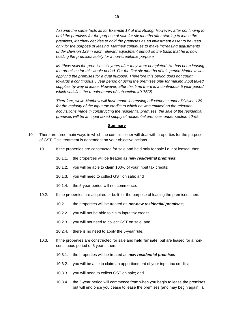*Assume the same facts as for Example 17 of this Ruling. However, after continuing to hold the premises for the purpose of sale for six months after starting to lease the premises, Matthew decides to hold the premises as an investment asset to be used only for the purpose of leasing. Matthew continues to make increasing adjustments under Division 129 in each relevant adjustment period on the basis that he is now holding the premises solely for a non-creditable purpose.*

*Matthew sells the premises six years after they were completed. He has been leasing the premises for this whole period. For the first six months of this period Matthew was applying the premises for a dual purpose. Therefore this period does not count towards a continuous 5 year period of using the premises only for making input taxed supplies by way of lease. However, after this time there is a continuous 5 year period which satisfies the requirements of subsection 40-75(2).*

*Therefore, while Matthew will have made increasing adjustments under Division 129 for the majority of the input tax credits to which he was entitled on the relevant acquisitions made in constructing the residential premises, the sale of the residential premises will be an input taxed supply of residential premises under section 40-65.*

#### **Summary**

- <span id="page-15-0"></span>10. There are three main ways in which the commissioner will deal with properties for the purpose of GST. This treatment is dependent on your objective actions.
	- 10.1. If the properties are constructed for sale and held only for sale i.e. not leased, then
		- 10.1.1. the properties will be treated as *new residential premises*;
		- 10.1.2. you will be able to claim 100% of your input tax credits;
		- 10.1.3. you will need to collect GST on sale; and
		- 10.1.4. the 5-year period will not commence.
	- 10.2. If the properties are acquired or built for the purpose of leasing the premises, then:
		- 10.2.1. the properties will be treated as *not-new residential premises*;
		- 10.2.2. you will not be able to claim input tax credits;
		- 10.2.3. you will not need to collect GST on sale; and
		- 10.2.4. there is no need to apply the 5-year rule.
	- 10.3. If the properties are constructed for sale and **held for sale**, but are leased for a noncontinuous period of 5 years, then:
		- 10.3.1. the properties will be treated as *new residential premises*;
		- 10.3.2. you will be able to claim an apportionment of your input tax credits;
		- 10.3.3. you will need to collect GST on sale; and
		- 10.3.4. the 5-year period will commence from when you begin to lease the premises but will end once you cease to lease the premises (and may begin again...).